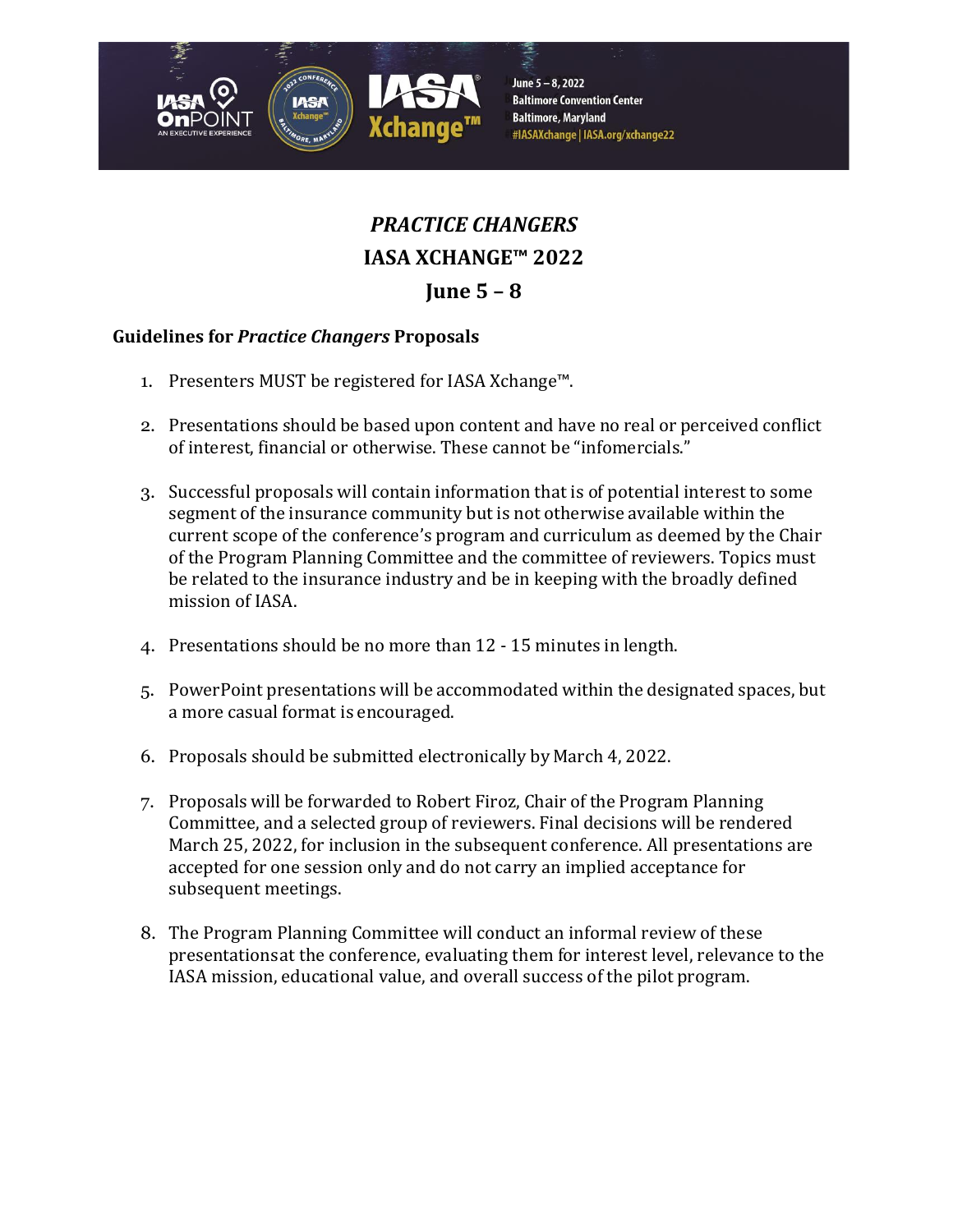

June 5-8, 2022 **Baltimore Convention Center Baltimore, Maryland** #IASAXchange | IASA.org/xchange22

# *PRACTICE CHANGERS* **IASA XCHANGE™ 2022**

## *<u>Iune*  $5 - 8$ </u>

### **Guidelines for** *Practice Changers* **Proposals**

- 1. Presenters MUST be registered for IASA Xchange™.
- 2. Presentations should be based upon content and have no real or perceived conflict of interest, financial or otherwise. These cannot be "infomercials."
- 3. Successful proposals will contain information that is of potential interest to some segment of the insurance community but is not otherwise available within the current scope of the conference's program and curriculum as deemed by the Chair of the Program Planning Committee and the committee of reviewers. Topics must be related to the insurance industry and be in keeping with the broadly defined mission of IASA.
- 4. Presentations should be no more than 12 15 minutes in length.
- 5. PowerPoint presentations will be accommodated within the designated spaces, but a more casual format is encouraged.
- 6. Proposals should be submitted electronically by March 4, 2022.
- 7. Proposals will be forwarded to Robert Firoz, Chair of the Program Planning Committee, and a selected group of reviewers. Final decisions will be rendered March 25, 2022, for inclusion in the subsequent conference. All presentations are accepted for one session only and do not carry an implied acceptance for subsequent meetings.
- 8. The Program Planning Committee will conduct an informal review of these presentationsat the conference, evaluating them for interest level, relevance to the IASA mission, educational value, and overall success of the pilot program.